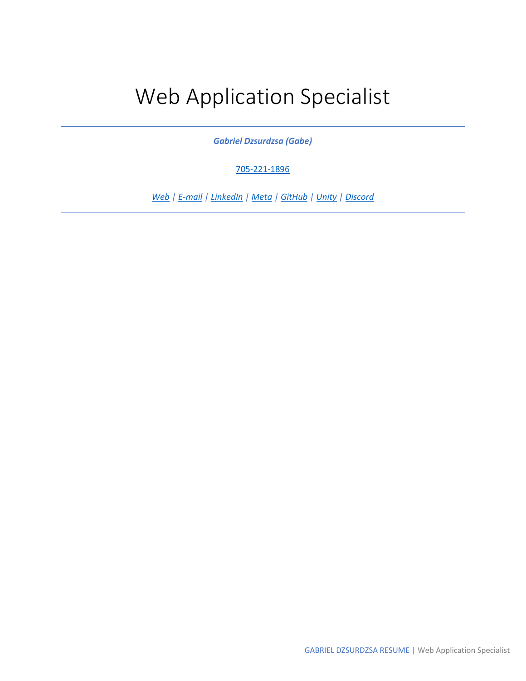# Web Application Specialist

*Gabriel Dzsurdzsa (Gabe)*

[705-221-1896](tel:705-221-1896) 

*[Web](https://gabrielcoder.ca/) | [E-mail](mailto:gabrieldzsurdzsa@outlook.com) [| LinkedIn](https://www.linkedin.com/in/gabriel-dzsurdzsa/) | [Meta](https://www.facebook.com/gabriel.dzsurdzsa/) | [GitHub](https://github.com/GabrielDzsurdzsa) | [Unity](https://learn.unity.com/u/gabrielcoder) | [Discord](https://discord.com/channels/@gabrielarch87#9026)*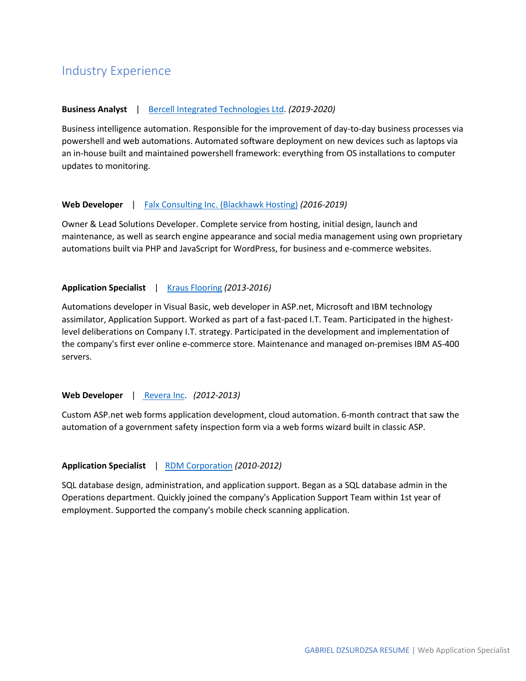## Industry Experience

#### **Business Analyst** | [Bercell Integrated Technologies Ltd.](https://www.bercell.com/) *(2019-2020)*

Business intelligence automation. Responsible for the improvement of day-to-day business processes via powershell and web automations. Automated software deployment on new devices such as laptops via an in-house built and maintained powershell framework: everything from OS installations to computer updates to monitoring.

#### **Web Developer** | [Falx Consulting Inc. \(Blackhawk Hosting\)](https://blackhawkhosting.ca/) *(2016-2019)*

Owner & Lead Solutions Developer. Complete service from hosting, initial design, launch and maintenance, as well as search engine appearance and social media management using own proprietary automations built via PHP and JavaScript for WordPress, for business and e-commerce websites.

#### **Application Specialist** | [Kraus Flooring](https://krausflooring.com/) *(2013-2016)*

Automations developer in Visual Basic, web developer in ASP.net, Microsoft and IBM technology assimilator, Application Support. Worked as part of a fast-paced I.T. Team. Participated in the highestlevel deliberations on Company I.T. strategy. Participated in the development and implementation of the company's first ever online e-commerce store. Maintenance and managed on-premises IBM AS-400 servers.

#### **Web Developer** | [Revera Inc.](https://reveraliving.com/en/) *(2012-2013)*

Custom ASP.net web forms application development, cloud automation. 6-month contract that saw the automation of a government safety inspection form via a web forms wizard built in classic ASP.

#### **Application Specialist** | [RDM Corporation](https://www.rdmcorp.com/) *(2010-2012)*

SQL database design, administration, and application support. Began as a SQL database admin in the Operations department. Quickly joined the company's Application Support Team within 1st year of employment. Supported the company's mobile check scanning application.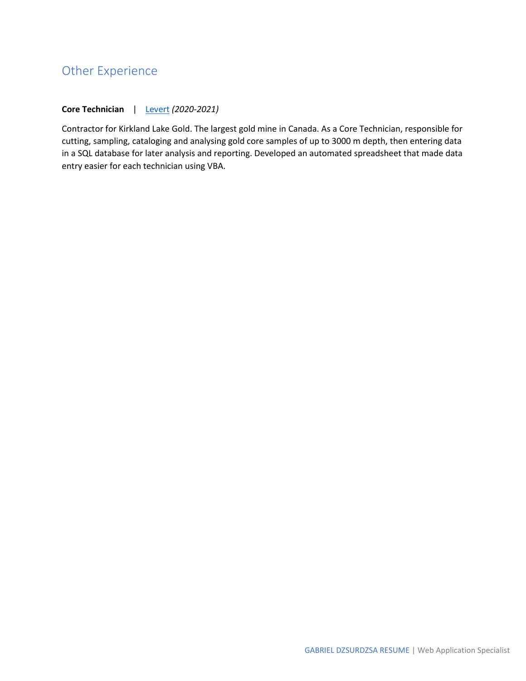## Other Experience

#### **Core Technician** | Levert *(2020-2021)*

Contractor for Kirkland Lake Gold. The largest gold mine in Canada. As a Core Technician, responsible for cutting, sampling, cataloging and analysing gold core samples of up to 3000 m depth, then entering data in a SQL database for later analysis and reporting. Developed an automated spreadsheet that made data entry easier for each technician using VBA.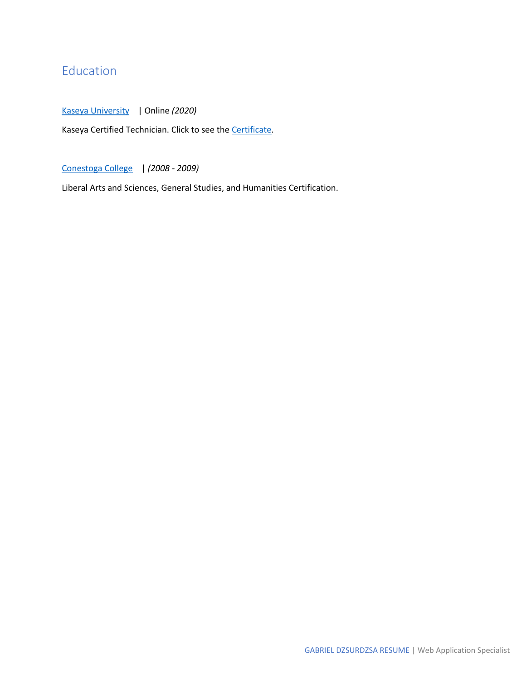# Education

Kaseya University| Online *(2020)*

Kaseya Certified Technician. Click to see the Certificate.

Conestoga College| *(2008 - 2009)*

Liberal Arts and Sciences, General Studies, and Humanities Certification.